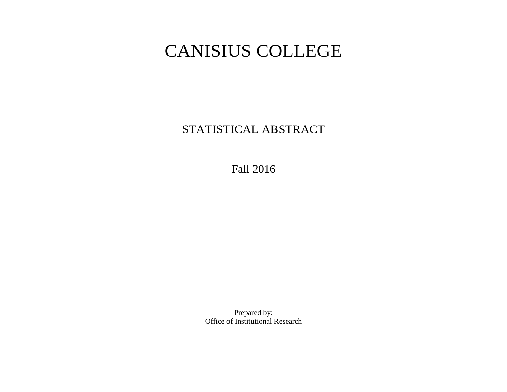# CANISIUS COLLEGE

STATISTICAL ABSTRACT

Fall 2016

Prepared by: Office of Institutional Research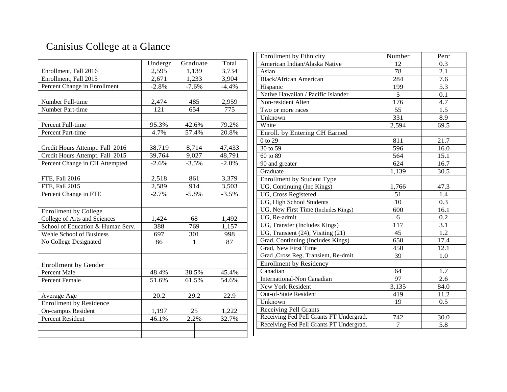# Canisius College at a Glance

|                                   | Undergr | Graduate | Total   |
|-----------------------------------|---------|----------|---------|
| Enrollment, Fall 2016             | 2,595   | 1,139    | 3,734   |
| Enrollment, Fall 2015             | 2,671   | 1,233    | 3,904   |
| Percent Change in Enrollment      | $-2.8%$ | $-7.6%$  | $-4.4%$ |
|                                   |         |          |         |
| Number Full-time                  | 2,474   | 485      | 2,959   |
| Number Part-time                  | 121     | 654      | 775     |
|                                   |         |          |         |
| Percent Full-time                 | 95.3%   | 42.6%    | 79.2%   |
| Percent Part-time                 | 4.7%    | 57.4%    | 20.8%   |
|                                   |         |          |         |
| Credit Hours Attempt. Fall 2016   | 38,719  | 8,714    | 47,433  |
| Credit Hours Attempt. Fall 2015   | 39,764  | 9,027    | 48,791  |
| Percent Change in CH Attempted    | $-2.6%$ | $-3.5%$  | $-2.8%$ |
|                                   |         |          |         |
| FTE, Fall 2016                    | 2,518   | 861      | 3,379   |
| FTE, Fall 2015                    | 2,589   | 914      | 3,503   |
| Percent Change in FTE             | $-2.7%$ | $-5.8%$  | $-3.5%$ |
|                                   |         |          |         |
| <b>Enrollment by College</b>      |         |          |         |
| College of Arts and Sciences      | 1,424   | 68       | 1,492   |
| School of Education & Human Serv. | 388     | 769      | 1,157   |
| <b>Wehle School of Business</b>   | 697     | 301      | 998     |
| No College Designated             | 86      | 1        | 87      |
|                                   |         |          |         |
|                                   |         |          |         |
| <b>Enrollment by Gender</b>       |         |          |         |
| <b>Percent Male</b>               | 48.4%   | 38.5%    | 45.4%   |
| <b>Percent Female</b>             | 51.6%   | 61.5%    | 54.6%   |
|                                   |         |          |         |
| Average Age                       | 20.2    | 29.2     | 22.9    |
| Enrollment by Residence           |         |          |         |
| On-campus Resident                | 1,197   | 25       | 1,222   |
| <b>Percent Resident</b>           | 46.1%   | 2.2%     | 32.7%   |
|                                   |         |          |         |
|                                   |         |          |         |

| <b>Enrollment by Ethnicity</b>                  | Number           | Perc             |
|-------------------------------------------------|------------------|------------------|
| American Indian/Alaska Native                   | 12               | 0.3              |
| Asian                                           | $\overline{78}$  | 2.1              |
| <b>Black/African American</b>                   | 284              | 7.6              |
| Hispanic                                        | 199              | 5.3              |
| Native Hawaiian / Pacific Islander              | 5                | 0.1              |
| Non-resident Alien                              | 176              | 4.7              |
| Two or more races                               | 55               | 1.5              |
| Unknown                                         | $\overline{331}$ | 8.9              |
| White                                           | 2,594            | 69.5             |
| Enroll. by Entering CH Earned                   |                  |                  |
| 0 to 29                                         | 811              | 21.7             |
| 30 to 59                                        | 596              | 16.0             |
| 60 to 89                                        | 564              | 15.1             |
| 90 and greater                                  | 624              | 16.7             |
| Graduate                                        | 1,139            | 30.5             |
| Enrollment by Student Type                      |                  |                  |
| UG, Continuing (Inc Kings)                      | 1,766            | 47.3             |
| UG, Cross Registered                            | 51               | 1.4              |
| UG, High School Students                        | 10               | $\overline{0.3}$ |
| UG, New First Time (Includes Kings)             | 600              | 16.1             |
| UG, Re-admit                                    | 6                | 0.2              |
| UG, Transfer (Includes Kings)                   | 117              | 3.1              |
| $\overline{UG}$ , Transient (24), Visiting (21) | 45               | 1.2              |
| Grad, Continuing (Includes Kings)               | 650              | 17.4             |
| Grad, New First Time                            | 450              | 12.1             |
| Grad , Cross Reg, Transient, Re-dmit            | 39               | 1.0              |
| <b>Enrollment by Residency</b>                  |                  |                  |
| Canadian                                        | 64               | 1.7              |
| <b>International-Non Canadian</b>               | 97               | 2.6              |
| New York Resident                               | 3,135            | 84.0             |
| Out-of-State Resident                           | 419              | 11.2             |
| Unknown                                         | 19               | 0.5              |
| <b>Receiving Pell Grants</b>                    |                  |                  |
| Receiving Fed Pell Grants FT Undergrad.         | 742              | 30.0             |
| Receiving Fed Pell Grants PT Undergrad.         | $\boldsymbol{7}$ | 5.8              |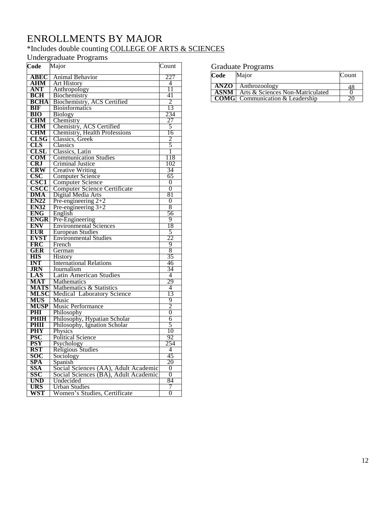## ENROLLMENTS BY MAJOR

## \*Includes double counting COLLEGE OF ARTS & SCIENCES

Undergraduate Programs

| Code                       | Major                                                         | Count          |
|----------------------------|---------------------------------------------------------------|----------------|
| <b>ABEC</b>                | Animal Behavior                                               | 227            |
| AHM                        | <b>Art History</b>                                            | 4              |
| <b>ANT</b>                 | Anthropology                                                  | 11             |
| <b>BCH</b>                 | Biochemistry                                                  | 41             |
| <b>BCHA</b>                | Biochemistry, ACS Certified                                   | 2              |
| BIF                        | <b>Bioinformatics</b>                                         | 13             |
| <b>BIO</b>                 | <b>Biology</b>                                                | 234            |
| <b>CHM</b>                 | Chemistry                                                     | 27             |
| <b>CHM</b>                 | Chemistry, ACS Certified                                      | 5              |
| <b>CHM</b>                 | Chemistry, Health Professions                                 | 16             |
| <b>CLSG</b>                | Classics, Greek                                               | 2              |
| CLS                        | Classics                                                      | 5              |
| CLSL                       | Classics, Latin                                               | 1              |
| COM                        | <b>Communication Studies</b>                                  | 118            |
| <b>CRJ</b>                 | Criminal Justice                                              | 102            |
| <b>CRW</b>                 | <b>Creative Writing</b>                                       | 34             |
| <b>CSC</b>                 | Computer Science                                              | 65             |
| <b>CSC1</b><br>CSCC        | <b>Computer Science</b>                                       | 0              |
|                            | <b>Computer Science Certificate</b>                           | $\theta$       |
| <b>DMA</b>                 | Digital Media Arts                                            | 81             |
| <b>EN22</b>                | Pre-engineering $2+2$                                         | $\overline{0}$ |
| <b>EN32</b>                | Pre-engineering $3+2$                                         | 8              |
| <b>ENG</b>                 | English                                                       | 56             |
| <b>ENGR</b>                | Pre-Engineering                                               | 9              |
| <b>ENV</b>                 | <b>Environmental Sciences</b>                                 | 18             |
| <b>EUR</b>                 | <b>European Studies</b>                                       | 5              |
| <b>EVST</b>                | <b>Environmental Studies</b>                                  | 22             |
| <b>FRC</b>                 | French                                                        | 9              |
| GER                        | German                                                        | 8              |
| <b>HIS</b>                 | History                                                       | 35             |
| <b>INT</b>                 | <b>International Relations</b>                                | 46             |
| <b>JRN</b>                 | Journalism                                                    | 34             |
| LAS                        | <b>Latin American Studies</b>                                 | 4<br>29        |
| MAT                        | <b>Mathematics</b>                                            | 4              |
| <b>MATS</b><br><b>MLSC</b> | Mathematics & Statistics<br><b>Medical Laboratory Science</b> | 13             |
| <b>MUS</b>                 | Music                                                         | 9              |
| <b>MUSP</b>                | Music Performance                                             | 2              |
| PHI                        | Philosophy                                                    | 0              |
| <b>PHIH</b>                | Philosophy, Hypatian Scholar                                  | 6              |
| PHII                       | Philosophy, Ignation Scholar                                  | 5              |
| <b>PHY</b>                 | Physics                                                       | 10             |
| <b>PSC</b>                 | <b>Political Science</b>                                      | 92             |
| <b>PSY</b>                 | Psychology                                                    | 254            |
| <b>RST</b>                 | <b>Religious Studies</b>                                      | $\overline{4}$ |
| SOC                        | Sociology                                                     | 45             |
| <b>SPA</b>                 | Spanish                                                       | 20             |
| <b>SSA</b>                 | Social Sciences (AA), Adult Academic                          | 0              |
| SSC                        | Social Sciences (BA), Adult Academic                          | 0              |
| <b>UND</b>                 | Undecided                                                     | 84             |
| <b>URS</b>                 | Urban Studies                                                 | 7              |
| WST                        | Women's Studies, Certificate                                  | 0              |
|                            |                                                               |                |

#### Graduate Programs

| Code   | Major                                         | Count |
|--------|-----------------------------------------------|-------|
| ANZO   | Anthrozoology                                 |       |
| ASNM I | Arts & Sciences Non-Matriculated              |       |
|        | $\mid$ COMG $\mid$ Communication & Leadership |       |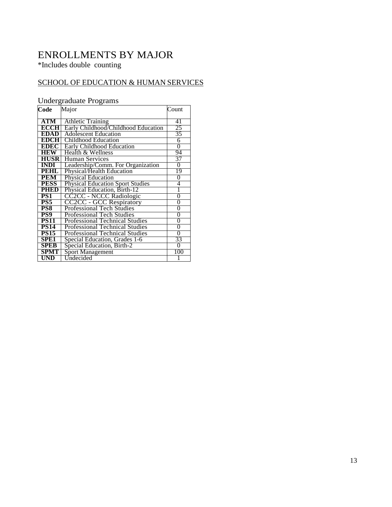## ENROLLMENTS BY MAJOR

\*Includes double counting

## SCHOOL OF EDUCATION & HUMAN SERVICES

## Undergraduate Programs

| Code             | Major                                   | Count          |
|------------------|-----------------------------------------|----------------|
| <b>ATM</b>       | <b>Athletic Training</b>                | 41             |
| <b>ECCH</b>      | Early Childhood/Childhood Education     | 25             |
| <b>EDAD</b>      | <b>Adolescent Education</b>             | 35             |
| <b>EDCH</b>      | Childhood Education                     | 6              |
| EDEC             | <b>Early Childhood Education</b>        | $\overline{0}$ |
| IEW              | Health & Wellness                       | 94             |
| <b>HUSR</b>      | <b>Human Services</b>                   | 37             |
| <b>INDI</b>      | Leadership/Comm. For Organization       | $\overline{0}$ |
| PEHL             | Physical/Health Education               | 19             |
| <b>PEM</b>       | <b>Physical Education</b>               | 0              |
| <b>PESS</b>      | <b>Physical Education Sport Studies</b> | 4              |
| PHED             | Physical Education, Birth-12            |                |
| PS1              | CC2CC - NCCC Radiologic                 | 0              |
| PS5              | <b>CC2CC - GCC Respiratory</b>          | 0              |
| PS8              | Professional Tech Studies               | 0              |
| PS9              | Professional Tech Studies               | 0              |
| <b>PS11</b>      | <b>Professional Technical Studies</b>   | 0              |
| <b>PS14</b>      | <b>Professional Technical Studies</b>   | 0              |
| <b>PS15</b>      | Professional Technical Studies          | 0              |
| SPE <sub>1</sub> | Special Education, Grades 1-6           | 33             |
| <b>SPEB</b>      | Special Education, Birth-2              | $\theta$       |
| SPMT             | <b>Sport Management</b>                 | 100            |
| UND              | Undecided                               |                |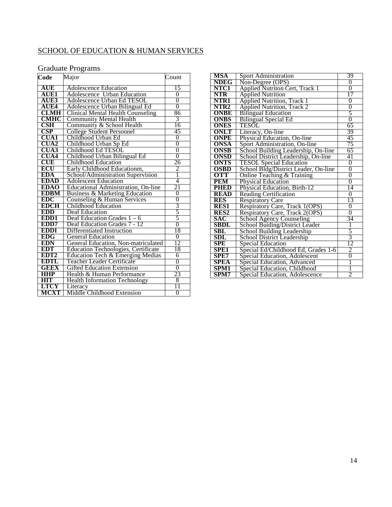## SCHOOL OF EDUCATION & HUMAN SERVICES

#### Graduate Programs

| Code             | Major                                      | Count          |
|------------------|--------------------------------------------|----------------|
| AUE              | <b>Adolescence Education</b>               | 15             |
| <b>AUE1</b>      | <b>Adolescence Urban Education</b>         | $\overline{0}$ |
| <b>AUE3</b>      | Adolescence Urban Ed TESOL                 | $\overline{0}$ |
| AUE4             | Adolescence Urban Bilingual Ed             | $\overline{0}$ |
| <b>CLMH</b>      | <b>Clinical Mental Health Counseling</b>   | 86             |
| <b>CMHC</b>      | <b>Community Mental Health</b>             | 3              |
| CSH              | Community & School Health                  | 16             |
| CSP              | <b>College Student Personnel</b>           | 45             |
| <b>CUA1</b>      | Childhood Urban Ed                         | $\overline{0}$ |
| <b>CUA2</b>      | Childhood Urban Sp Ed                      | 0              |
| <b>CUA3</b>      | Childhood Ed TESOL                         | $\overline{0}$ |
| <b>CUA4</b>      | Childhood Urban Bilingual Ed               | $\overline{0}$ |
| <b>CUE</b>       | Childhood Education                        | 26             |
| ECU              | Early Childhood Educationm,                | 2              |
| <b>EDA</b>       | School/Administration Supervision          | $\overline{1}$ |
| <b>EDAD</b>      | <b>Adolescent Education</b>                | 4              |
| <b>EDAO</b>      | <b>Educational Administration, On-line</b> | 21             |
| <b>EDBM</b>      | <b>Business &amp; Marketing Education</b>  | 0              |
| <b>EDC</b>       | Counseling & Human Services                | $\overline{0}$ |
| <b>EDCH</b>      | Childhood Education                        | $\frac{3}{5}$  |
| EDD              | Deaf Education                             |                |
| EDD1             | Deaf Education Grades $1 - 6$              | $\overline{5}$ |
| EDD7             | Deaf Education Grades 7 - 12               | $\overline{0}$ |
| <b>EDDI</b>      | Differentiated Instruction                 | 18             |
| <b>EDG</b>       | <b>General Education</b>                   | 0              |
| <b>EDN</b>       | General Education, Non-matriculated        | 12             |
| EDT              | <b>Education Technologies, Certificate</b> | 18             |
| EDT <sub>2</sub> | Education Tech & Emerging Medias           | 6              |
| EDTL             | Teacher Leader Certificate                 | $\overline{0}$ |
| GEEX             | <b>Gifted Education Extension</b>          | $\overline{0}$ |
| HHP              | Health & Human Performance                 | 23             |
| HIT              | <b>Health Information Technology</b>       | 8              |
| <b>LTCY</b>      | Literacy                                   | 11             |
| <b>MCXT</b>      | Middle Childhood Extension                 | 0              |

| <b>MSA</b>  | Sport Administration                                                   | 39             |
|-------------|------------------------------------------------------------------------|----------------|
| <b>NDEG</b> | Non-Degree (OPS)                                                       | $\overline{0}$ |
| NTC1        | <b>Applied Nutriton Cert, Track 1</b>                                  | 0              |
| <b>NTR</b>  | <b>Applied Nutrition</b>                                               | 17             |
| NTR1        | <b>Applied Nutrition, Track 1</b><br><b>Applied Nutrition, Track 2</b> | 0              |
| NTR2        |                                                                        | 0              |
| <b>ONBE</b> | <b>Bilingual Education</b>                                             | 5              |
| <b>ONBS</b> | <b>Bilingual Special Ed</b>                                            | 0              |
| <b>ONES</b> | TESOL                                                                  | 65             |
| <b>ONLT</b> | Literacy, On-line                                                      | 39             |
| <b>ONPE</b> | Physical Education, On-line                                            | 45             |
| ONSA        | Sport Administration, On-line                                          | 75             |
| ONSB        | School Building Leadership, On-line                                    | 65             |
| <b>ONSD</b> | School District Leadership, On-line                                    | 41             |
| <b>ONTS</b> | <b>TESOL Special Education</b>                                         | $\overline{0}$ |
| <b>OSBD</b> | School Bldg/District Leader, On-line                                   | 0              |
| OTT         | Online Teaching & Training                                             | $\overline{0}$ |
| PEM         | <b>Physical Education</b>                                              | $\overline{0}$ |
| PHED        | Physical Education, Birth-12                                           | 14             |
| <b>READ</b> | <b>Reading Certification</b>                                           | 0              |
| <b>RES</b>  | <b>Respiratory Care</b>                                                | 13             |
| <b>RES1</b> | Respiratory Care, Track 1(OPS)                                         | $\overline{0}$ |
| <b>RES2</b> | <b>Respiratory Care, Track 2(OPS)</b>                                  | $\overline{0}$ |
| SAC         | <b>School Agency Counseling</b>                                        | 34             |
| <b>SBDL</b> | School Buiding/District Leader                                         | 1              |
| SBL         | School Building Leadership                                             | $\frac{1}{3}$  |
| SDL         | School District Leadership                                             |                |
| SPE         | <b>Special Education</b>                                               | 12             |
| SPE1        | Special Ed/Childhood Ed, Grades 1-6                                    | $\overline{2}$ |
| <b>SPE7</b> | Special Education, Adolescent                                          | 0              |
| SPEA        | Special Education, Advanced                                            | Ī              |
| SPM1        | Special Education, Childhood                                           | Ī              |
| SPM7        | Special Education, Adolescence                                         | $\overline{2}$ |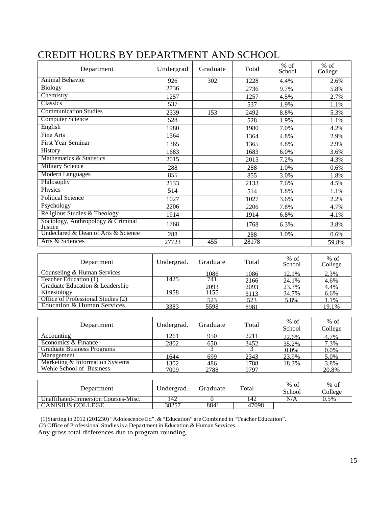| Department                                    | Undergrad | Graduate | Total | $%$ of<br>School | $%$ of<br>College |
|-----------------------------------------------|-----------|----------|-------|------------------|-------------------|
| Animal Behavior                               | 926       | 302      | 1228  | 4.4%             | 2.6%              |
| <b>Biology</b>                                | 2736      |          | 2736  | 9.7%             | 5.8%              |
| Chemistry                                     | 1257      |          | 1257  | 4.5%             | 2.7%              |
| Classics                                      | 537       |          | 537   | 1.9%             | 1.1%              |
| <b>Communication Studies</b>                  | 2339      | 153      | 2492  | 8.8%             | 5.3%              |
| <b>Computer Science</b>                       | 528       |          | 528   | 1.9%             | 1.1%              |
| English                                       | 1980      |          | 1980  | 7.0%             | 4.2%              |
| Fine Arts                                     | 1364      |          | 1364  | 4.8%             | 2.9%              |
| <b>First Year Seminar</b>                     | 1365      |          | 1365  | 4.8%             | 2.9%              |
| History                                       | 1683      |          | 1683  | 6.0%             | 3.6%              |
| Mathematics & Statistics                      | 2015      |          | 2015  | 7.2%             | 4.3%              |
| <b>Military Science</b>                       | 288       |          | 288   | 1.0%             | 0.6%              |
| <b>Modern Languages</b>                       | 855       |          | 855   | 3.0%             | 1.8%              |
| Philosophy                                    | 2133      |          | 2133  | 7.6%             | 4.5%              |
| Physics                                       | 514       |          | 514   | 1.8%             | 1.1%              |
| <b>Political Science</b>                      | 1027      |          | 1027  | 3.6%             | 2.2%              |
| Psychology                                    | 2206      |          | 2206  | 7.8%             | 4.7%              |
| Religious Studies & Theology                  | 1914      |          | 1914  | 6.8%             | 4.1%              |
| Sociology, Anthropology & Criminal<br>Justice | 1768      |          | 1768  | 6.3%             | 3.8%              |
| Undeclared & Dean of Arts & Science           | 288       |          | 288   | 1.0%             | 0.6%              |
| Arts & Sciences                               | 27723     | 455      | 28178 |                  | 59.8%             |

## CREDIT HOURS BY DEPARTMENT AND SCHOOL

| Department                         | Undergrad. | Graduate | Total | $%$ of<br>School | $%$ of<br>College |
|------------------------------------|------------|----------|-------|------------------|-------------------|
| Counseling & Human Services        |            | 1086     | 1086  | 12.1%            | 2.3%              |
| Teacher Education (1)              | 1425       | 741      | 2166  | 24.1%            | 4.6%              |
| Graduate Education & Leadership    |            | 2093     | 2093  | 23.3%            | 4.4%              |
| Kinesiology                        | 1958       | 1155     | 3113  | 34.7%            | 6.6%              |
| Office of Professional Studies (2) |            | 523      | 523   | 5.8%             | 1.1%              |
| Education & Human Services         | 3383       | 5598     | 8981  |                  | 19.1%             |

| Department                        | Undergrad. | Graduate | Total | $%$ of<br>School | $%$ of<br>College |
|-----------------------------------|------------|----------|-------|------------------|-------------------|
| Accounting                        | 1261       | 950      | 2211  | 22.6%            | 4.7%              |
| Economics & Finance               | 2802       | 650      | 3452  | 35.2%            | 7.3%              |
| <b>Graduate Business Programs</b> |            |          |       | 0.0%             | 0.0%              |
| Management                        | 1644       | 699      | 2343  | 23.9%            | 5.0%              |
| Marketing & Information Systems   | 1302       | 486      | 1788  | 18.3%            | 3.8%              |
| Wehle School of Business          | 7009       | 2788     | 9797  |                  | 20.8%             |

| Department                           | Undergrad. | Graduate | Total | $%$ of<br>School | $%$ of<br>College |
|--------------------------------------|------------|----------|-------|------------------|-------------------|
| Unaffiliated-Immersion Courses-Misc. | 142        |          | 14Z   | N/A              | 0.5%              |
| <b>CANISIUS COLLEGE</b>              | 38257      | 8841     | 47098 |                  |                   |

(1)Starting in 2012 (201230) "Adolescence Ed". & "Education" are Combined in "Teacher Education".

(2) Office of Professional Studiesis a Department in Education & Human Services.

Any gross total differences due to program rounding.